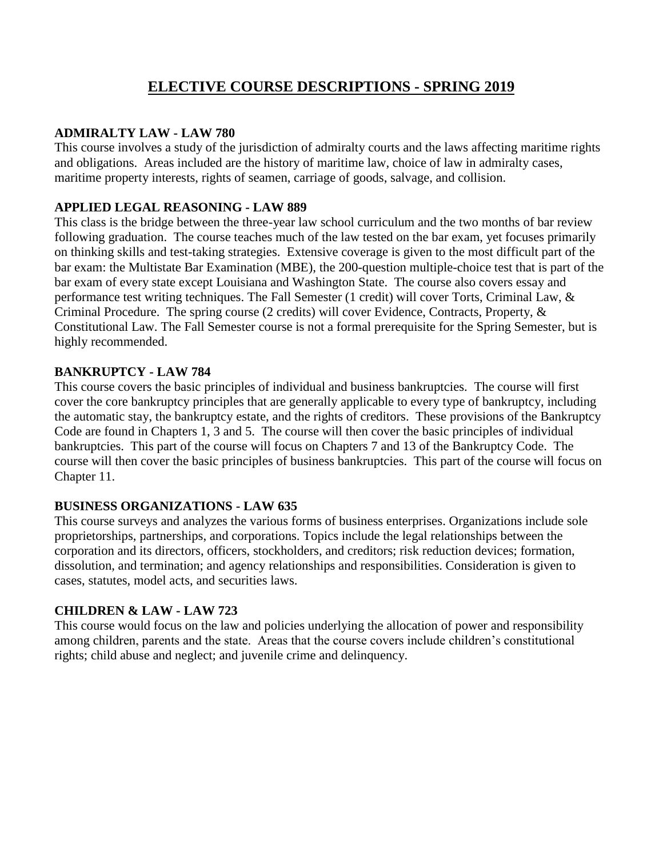# **ELECTIVE COURSE DESCRIPTIONS - SPRING 2019**

#### **ADMIRALTY LAW - LAW 780**

This course involves a study of the jurisdiction of admiralty courts and the laws affecting maritime rights and obligations. Areas included are the history of maritime law, choice of law in admiralty cases, maritime property interests, rights of seamen, carriage of goods, salvage, and collision.

### **APPLIED LEGAL REASONING - LAW 889**

This class is the bridge between the three-year law school curriculum and the two months of bar review following graduation. The course teaches much of the law tested on the bar exam, yet focuses primarily on thinking skills and test-taking strategies. Extensive coverage is given to the most difficult part of the bar exam: the Multistate Bar Examination (MBE), the 200-question multiple-choice test that is part of the bar exam of every state except Louisiana and Washington State. The course also covers essay and performance test writing techniques. The Fall Semester (1 credit) will cover Torts, Criminal Law, & Criminal Procedure. The spring course (2 credits) will cover Evidence, Contracts, Property, & Constitutional Law. The Fall Semester course is not a formal prerequisite for the Spring Semester, but is highly recommended.

### **BANKRUPTCY - LAW 784**

This course covers the basic principles of individual and business bankruptcies. The course will first cover the core bankruptcy principles that are generally applicable to every type of bankruptcy, including the automatic stay, the bankruptcy estate, and the rights of creditors. These provisions of the Bankruptcy Code are found in Chapters 1, 3 and 5. The course will then cover the basic principles of individual bankruptcies. This part of the course will focus on Chapters 7 and 13 of the Bankruptcy Code. The course will then cover the basic principles of business bankruptcies. This part of the course will focus on Chapter 11.

### **BUSINESS ORGANIZATIONS - LAW 635**

This course surveys and analyzes the various forms of business enterprises. Organizations include sole proprietorships, partnerships, and corporations. Topics include the legal relationships between the corporation and its directors, officers, stockholders, and creditors; risk reduction devices; formation, dissolution, and termination; and agency relationships and responsibilities. Consideration is given to cases, statutes, model acts, and securities laws.

### **CHILDREN & LAW - LAW 723**

This course would focus on the law and policies underlying the allocation of power and responsibility among children, parents and the state. Areas that the course covers include children's constitutional rights; child abuse and neglect; and juvenile crime and delinquency.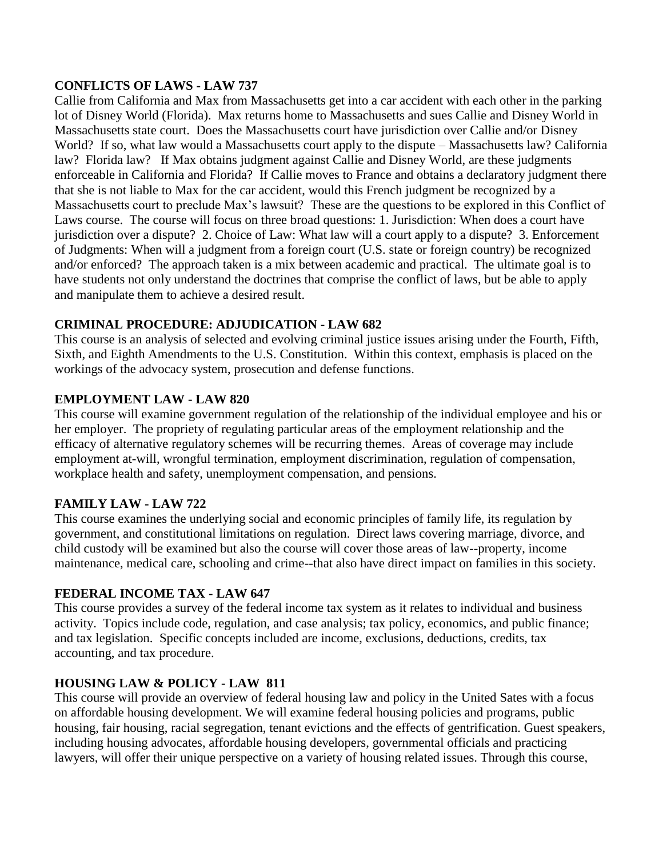# **CONFLICTS OF LAWS - LAW 737**

Callie from California and Max from Massachusetts get into a car accident with each other in the parking lot of Disney World (Florida). Max returns home to Massachusetts and sues Callie and Disney World in Massachusetts state court. Does the Massachusetts court have jurisdiction over Callie and/or Disney World? If so, what law would a Massachusetts court apply to the dispute – Massachusetts law? California law? Florida law? If Max obtains judgment against Callie and Disney World, are these judgments enforceable in California and Florida? If Callie moves to France and obtains a declaratory judgment there that she is not liable to Max for the car accident, would this French judgment be recognized by a Massachusetts court to preclude Max's lawsuit? These are the questions to be explored in this Conflict of Laws course. The course will focus on three broad questions: 1. Jurisdiction: When does a court have jurisdiction over a dispute? 2. Choice of Law: What law will a court apply to a dispute? 3. Enforcement of Judgments: When will a judgment from a foreign court (U.S. state or foreign country) be recognized and/or enforced? The approach taken is a mix between academic and practical. The ultimate goal is to have students not only understand the doctrines that comprise the conflict of laws, but be able to apply and manipulate them to achieve a desired result.

# **CRIMINAL PROCEDURE: ADJUDICATION - LAW 682**

This course is an analysis of selected and evolving criminal justice issues arising under the Fourth, Fifth, Sixth, and Eighth Amendments to the U.S. Constitution. Within this context, emphasis is placed on the workings of the advocacy system, prosecution and defense functions.

# **EMPLOYMENT LAW - LAW 820**

This course will examine government regulation of the relationship of the individual employee and his or her employer. The propriety of regulating particular areas of the employment relationship and the efficacy of alternative regulatory schemes will be recurring themes. Areas of coverage may include employment at-will, wrongful termination, employment discrimination, regulation of compensation, workplace health and safety, unemployment compensation, and pensions.

### **FAMILY LAW - LAW 722**

This course examines the underlying social and economic principles of family life, its regulation by government, and constitutional limitations on regulation. Direct laws covering marriage, divorce, and child custody will be examined but also the course will cover those areas of law--property, income maintenance, medical care, schooling and crime--that also have direct impact on families in this society.

### **FEDERAL INCOME TAX - LAW 647**

This course provides a survey of the federal income tax system as it relates to individual and business activity. Topics include code, regulation, and case analysis; tax policy, economics, and public finance; and tax legislation. Specific concepts included are income, exclusions, deductions, credits, tax accounting, and tax procedure.

### **HOUSING LAW & POLICY - LAW 811**

This course will provide an overview of federal housing law and policy in the United Sates with a focus on affordable housing development. We will examine federal housing policies and programs, public housing, fair housing, racial segregation, tenant evictions and the effects of gentrification. Guest speakers, including housing advocates, affordable housing developers, governmental officials and practicing lawyers, will offer their unique perspective on a variety of housing related issues. Through this course,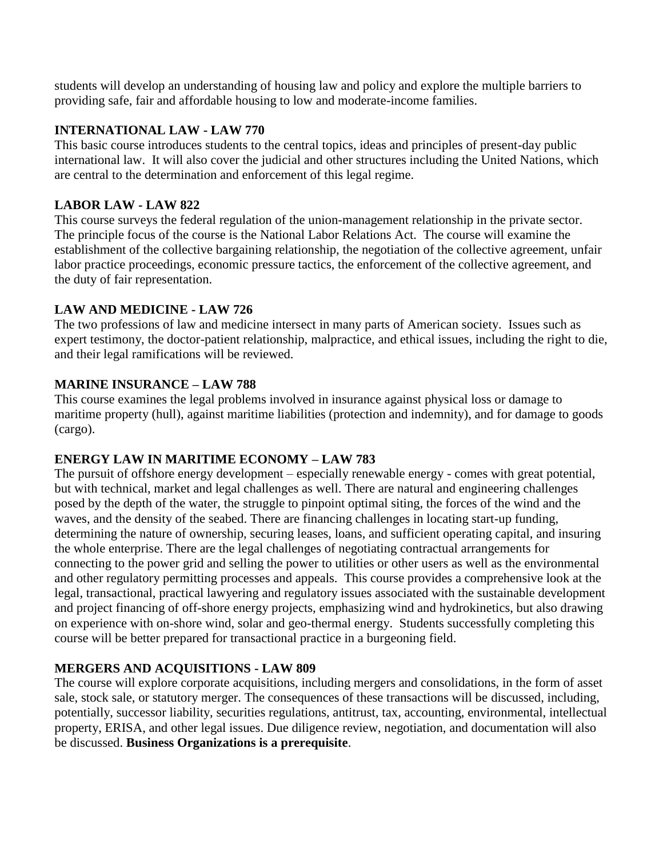students will develop an understanding of housing law and policy and explore the multiple barriers to providing safe, fair and affordable housing to low and moderate-income families.

# **INTERNATIONAL LAW - LAW 770**

This basic course introduces students to the central topics, ideas and principles of present-day public international law. It will also cover the judicial and other structures including the United Nations, which are central to the determination and enforcement of this legal regime.

# **LABOR LAW - LAW 822**

This course surveys the federal regulation of the union-management relationship in the private sector. The principle focus of the course is the National Labor Relations Act. The course will examine the establishment of the collective bargaining relationship, the negotiation of the collective agreement, unfair labor practice proceedings, economic pressure tactics, the enforcement of the collective agreement, and the duty of fair representation.

# **LAW AND MEDICINE - LAW 726**

The two professions of law and medicine intersect in many parts of American society. Issues such as expert testimony, the doctor-patient relationship, malpractice, and ethical issues, including the right to die, and their legal ramifications will be reviewed.

# **MARINE INSURANCE – LAW 788**

This course examines the legal problems involved in insurance against physical loss or damage to maritime property (hull), against maritime liabilities (protection and indemnity), and for damage to goods (cargo).

# **ENERGY LAW IN MARITIME ECONOMY – LAW 783**

The pursuit of offshore energy development – especially renewable energy - comes with great potential, but with technical, market and legal challenges as well. There are natural and engineering challenges posed by the depth of the water, the struggle to pinpoint optimal siting, the forces of the wind and the waves, and the density of the seabed. There are financing challenges in locating start-up funding, determining the nature of ownership, securing leases, loans, and sufficient operating capital, and insuring the whole enterprise. There are the legal challenges of negotiating contractual arrangements for connecting to the power grid and selling the power to utilities or other users as well as the environmental and other regulatory permitting processes and appeals. This course provides a comprehensive look at the legal, transactional, practical lawyering and regulatory issues associated with the sustainable development and project financing of off-shore energy projects, emphasizing wind and hydrokinetics, but also drawing on experience with on-shore wind, solar and geo-thermal energy. Students successfully completing this course will be better prepared for transactional practice in a burgeoning field.

### **MERGERS AND ACQUISITIONS - LAW 809**

The course will explore corporate acquisitions, including mergers and consolidations, in the form of asset sale, stock sale, or statutory merger. The consequences of these transactions will be discussed, including, potentially, successor liability, securities regulations, antitrust, tax, accounting, environmental, intellectual property, ERISA, and other legal issues. Due diligence review, negotiation, and documentation will also be discussed. **Business Organizations is a prerequisite**.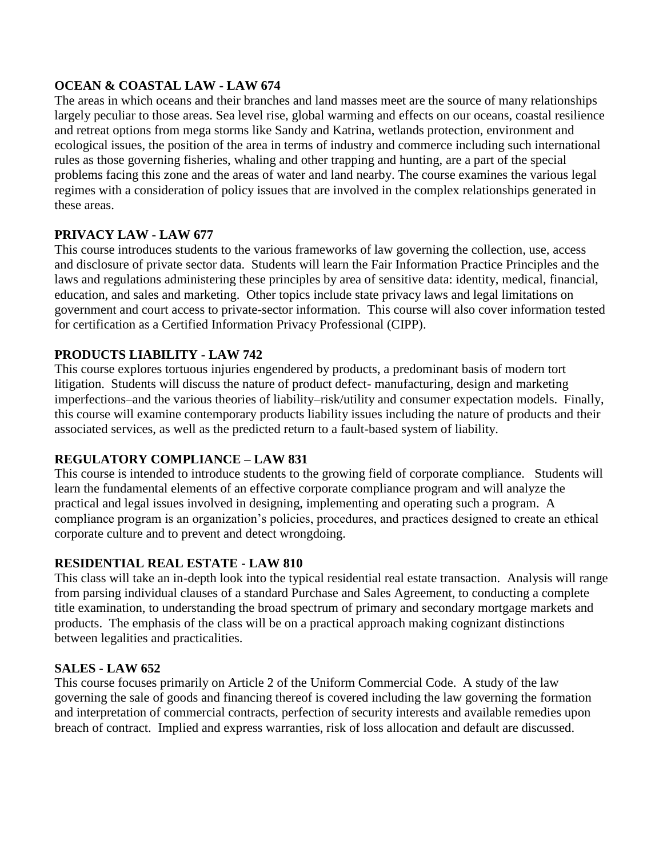#### **OCEAN & COASTAL LAW - LAW 674**

The areas in which oceans and their branches and land masses meet are the source of many relationships largely peculiar to those areas. Sea level rise, global warming and effects on our oceans, coastal resilience and retreat options from mega storms like Sandy and Katrina, wetlands protection, environment and ecological issues, the position of the area in terms of industry and commerce including such international rules as those governing fisheries, whaling and other trapping and hunting, are a part of the special problems facing this zone and the areas of water and land nearby. The course examines the various legal regimes with a consideration of policy issues that are involved in the complex relationships generated in these areas.

### **PRIVACY LAW - LAW 677**

This course introduces students to the various frameworks of law governing the collection, use, access and disclosure of private sector data. Students will learn the Fair Information Practice Principles and the laws and regulations administering these principles by area of sensitive data: identity, medical, financial, education, and sales and marketing. Other topics include state privacy laws and legal limitations on government and court access to private-sector information. This course will also cover information tested for certification as a Certified Information Privacy Professional (CIPP).

# **PRODUCTS LIABILITY - LAW 742**

This course explores tortuous injuries engendered by products, a predominant basis of modern tort litigation. Students will discuss the nature of product defect- manufacturing, design and marketing imperfections–and the various theories of liability–risk/utility and consumer expectation models. Finally, this course will examine contemporary products liability issues including the nature of products and their associated services, as well as the predicted return to a fault-based system of liability.

# **REGULATORY COMPLIANCE – LAW 831**

This course is intended to introduce students to the growing field of corporate compliance. Students will learn the fundamental elements of an effective corporate compliance program and will analyze the practical and legal issues involved in designing, implementing and operating such a program. A compliance program is an organization's policies, procedures, and practices designed to create an ethical corporate culture and to prevent and detect wrongdoing.

### **RESIDENTIAL REAL ESTATE - LAW 810**

This class will take an in-depth look into the typical residential real estate transaction. Analysis will range from parsing individual clauses of a standard Purchase and Sales Agreement, to conducting a complete title examination, to understanding the broad spectrum of primary and secondary mortgage markets and products. The emphasis of the class will be on a practical approach making cognizant distinctions between legalities and practicalities.

### **SALES - LAW 652**

This course focuses primarily on Article 2 of the Uniform Commercial Code. A study of the law governing the sale of goods and financing thereof is covered including the law governing the formation and interpretation of commercial contracts, perfection of security interests and available remedies upon breach of contract. Implied and express warranties, risk of loss allocation and default are discussed.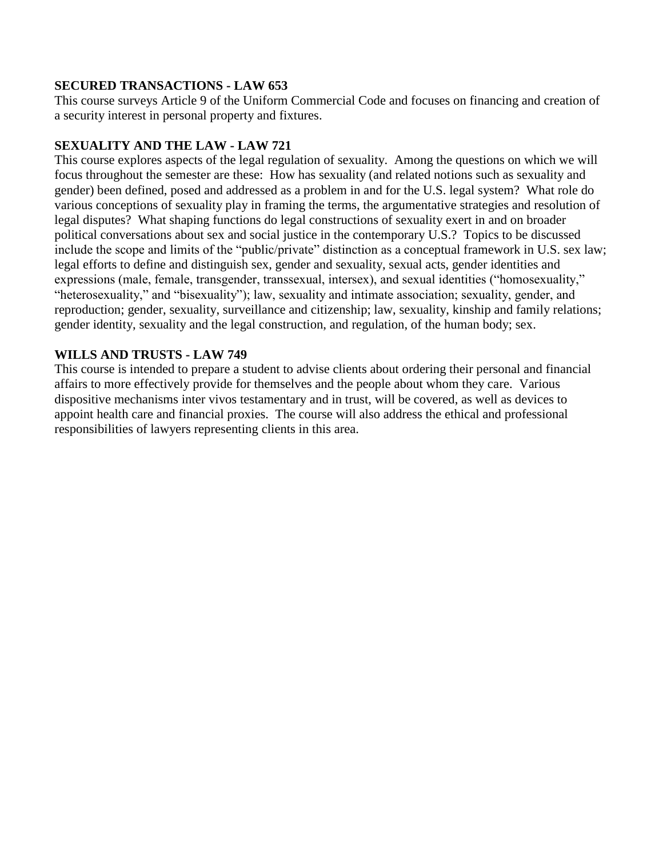### **SECURED TRANSACTIONS - LAW 653**

This course surveys Article 9 of the Uniform Commercial Code and focuses on financing and creation of a security interest in personal property and fixtures.

# **SEXUALITY AND THE LAW - LAW 721**

This course explores aspects of the legal regulation of sexuality. Among the questions on which we will focus throughout the semester are these: How has sexuality (and related notions such as sexuality and gender) been defined, posed and addressed as a problem in and for the U.S. legal system? What role do various conceptions of sexuality play in framing the terms, the argumentative strategies and resolution of legal disputes? What shaping functions do legal constructions of sexuality exert in and on broader political conversations about sex and social justice in the contemporary U.S.? Topics to be discussed include the scope and limits of the "public/private" distinction as a conceptual framework in U.S. sex law; legal efforts to define and distinguish sex, gender and sexuality, sexual acts, gender identities and expressions (male, female, transgender, transsexual, intersex), and sexual identities ("homosexuality," "heterosexuality," and "bisexuality"); law, sexuality and intimate association; sexuality, gender, and reproduction; gender, sexuality, surveillance and citizenship; law, sexuality, kinship and family relations; gender identity, sexuality and the legal construction, and regulation, of the human body; sex.

# **WILLS AND TRUSTS - LAW 749**

This course is intended to prepare a student to advise clients about ordering their personal and financial affairs to more effectively provide for themselves and the people about whom they care. Various dispositive mechanisms inter vivos testamentary and in trust, will be covered, as well as devices to appoint health care and financial proxies. The course will also address the ethical and professional responsibilities of lawyers representing clients in this area.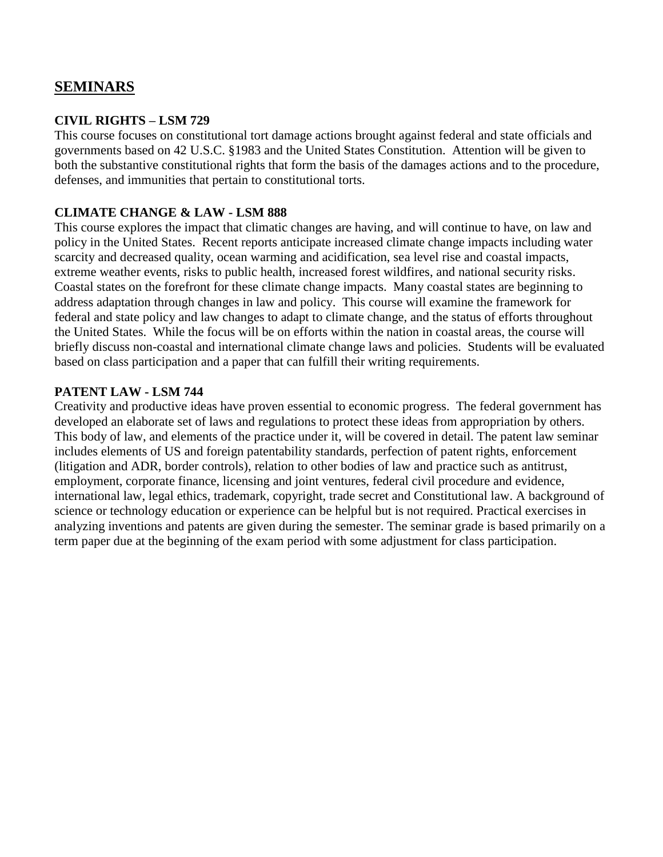# **SEMINARS**

#### **CIVIL RIGHTS – LSM 729**

This course focuses on constitutional tort damage actions brought against federal and state officials and governments based on 42 U.S.C. §1983 and the United States Constitution. Attention will be given to both the substantive constitutional rights that form the basis of the damages actions and to the procedure, defenses, and immunities that pertain to constitutional torts.

#### **CLIMATE CHANGE & LAW - LSM 888**

This course explores the impact that climatic changes are having, and will continue to have, on law and policy in the United States. Recent reports anticipate increased climate change impacts including water scarcity and decreased quality, ocean warming and acidification, sea level rise and coastal impacts, extreme weather events, risks to public health, increased forest wildfires, and national security risks. Coastal states on the forefront for these climate change impacts. Many coastal states are beginning to address adaptation through changes in law and policy. This course will examine the framework for federal and state policy and law changes to adapt to climate change, and the status of efforts throughout the United States. While the focus will be on efforts within the nation in coastal areas, the course will briefly discuss non-coastal and international climate change laws and policies. Students will be evaluated based on class participation and a paper that can fulfill their writing requirements.

#### **PATENT LAW - LSM 744**

Creativity and productive ideas have proven essential to economic progress. The federal government has developed an elaborate set of laws and regulations to protect these ideas from appropriation by others. This body of law, and elements of the practice under it, will be covered in detail. The patent law seminar includes elements of US and foreign patentability standards, perfection of patent rights, enforcement (litigation and ADR, border controls), relation to other bodies of law and practice such as antitrust, employment, corporate finance, licensing and joint ventures, federal civil procedure and evidence, international law, legal ethics, trademark, copyright, trade secret and Constitutional law. A background of science or technology education or experience can be helpful but is not required. Practical exercises in analyzing inventions and patents are given during the semester. The seminar grade is based primarily on a term paper due at the beginning of the exam period with some adjustment for class participation.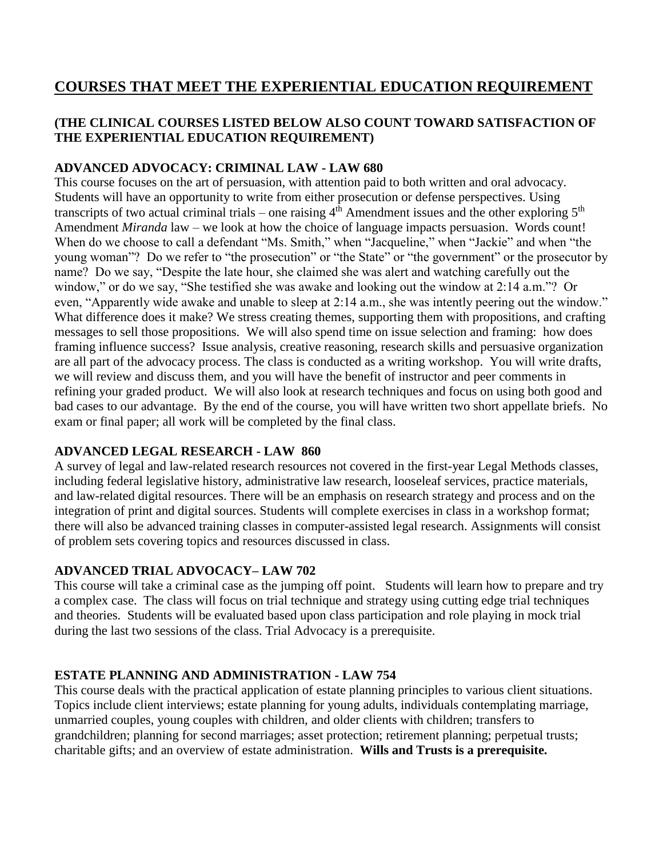# **COURSES THAT MEET THE EXPERIENTIAL EDUCATION REQUIREMENT**

# **(THE CLINICAL COURSES LISTED BELOW ALSO COUNT TOWARD SATISFACTION OF THE EXPERIENTIAL EDUCATION REQUIREMENT)**

# **ADVANCED ADVOCACY: CRIMINAL LAW - LAW 680**

This course focuses on the art of persuasion, with attention paid to both written and oral advocacy. Students will have an opportunity to write from either prosecution or defense perspectives. Using transcripts of two actual criminal trials – one raising  $4<sup>th</sup>$  Amendment issues and the other exploring  $5<sup>th</sup>$ Amendment *Miranda* law – we look at how the choice of language impacts persuasion. Words count! When do we choose to call a defendant "Ms. Smith," when "Jacqueline," when "Jackie" and when "the young woman"? Do we refer to "the prosecution" or "the State" or "the government" or the prosecutor by name? Do we say, "Despite the late hour, she claimed she was alert and watching carefully out the window," or do we say, "She testified she was awake and looking out the window at 2:14 a.m."? Or even, "Apparently wide awake and unable to sleep at 2:14 a.m., she was intently peering out the window." What difference does it make? We stress creating themes, supporting them with propositions, and crafting messages to sell those propositions. We will also spend time on issue selection and framing: how does framing influence success? Issue analysis, creative reasoning, research skills and persuasive organization are all part of the advocacy process. The class is conducted as a writing workshop. You will write drafts, we will review and discuss them, and you will have the benefit of instructor and peer comments in refining your graded product. We will also look at research techniques and focus on using both good and bad cases to our advantage. By the end of the course, you will have written two short appellate briefs. No exam or final paper; all work will be completed by the final class.

### **ADVANCED LEGAL RESEARCH - LAW 860**

A survey of legal and law-related research resources not covered in the first-year Legal Methods classes, including federal legislative history, administrative law research, looseleaf services, practice materials, and law-related digital resources. There will be an emphasis on research strategy and process and on the integration of print and digital sources. Students will complete exercises in class in a workshop format; there will also be advanced training classes in computer-assisted legal research. Assignments will consist of problem sets covering topics and resources discussed in class.

# **ADVANCED TRIAL ADVOCACY– LAW 702**

This course will take a criminal case as the jumping off point. Students will learn how to prepare and try a complex case. The class will focus on trial technique and strategy using cutting edge trial techniques and theories. Students will be evaluated based upon class participation and role playing in mock trial during the last two sessions of the class. Trial Advocacy is a prerequisite.

# **ESTATE PLANNING AND ADMINISTRATION - LAW 754**

This course deals with the practical application of estate planning principles to various client situations. Topics include client interviews; estate planning for young adults, individuals contemplating marriage, unmarried couples, young couples with children, and older clients with children; transfers to grandchildren; planning for second marriages; asset protection; retirement planning; perpetual trusts; charitable gifts; and an overview of estate administration. **Wills and Trusts is a prerequisite.**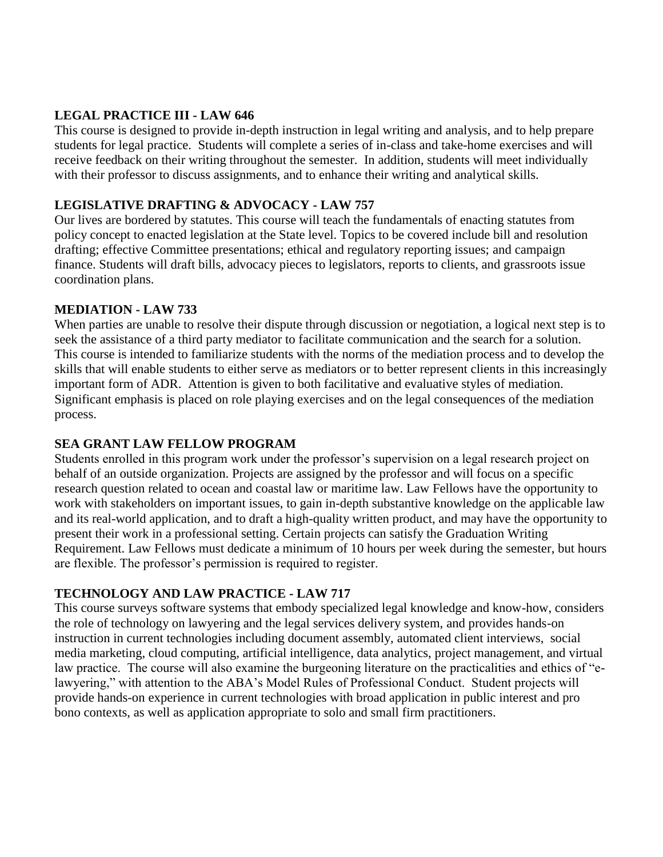# **LEGAL PRACTICE III - LAW 646**

This course is designed to provide in-depth instruction in legal writing and analysis, and to help prepare students for legal practice. Students will complete a series of in-class and take-home exercises and will receive feedback on their writing throughout the semester. In addition, students will meet individually with their professor to discuss assignments, and to enhance their writing and analytical skills.

# **LEGISLATIVE DRAFTING & ADVOCACY - LAW 757**

Our lives are bordered by statutes. This course will teach the fundamentals of enacting statutes from policy concept to enacted legislation at the State level. Topics to be covered include bill and resolution drafting; effective Committee presentations; ethical and regulatory reporting issues; and campaign finance. Students will draft bills, advocacy pieces to legislators, reports to clients, and grassroots issue coordination plans.

### **MEDIATION - LAW 733**

When parties are unable to resolve their dispute through discussion or negotiation, a logical next step is to seek the assistance of a third party mediator to facilitate communication and the search for a solution. This course is intended to familiarize students with the norms of the mediation process and to develop the skills that will enable students to either serve as mediators or to better represent clients in this increasingly important form of ADR. Attention is given to both facilitative and evaluative styles of mediation. Significant emphasis is placed on role playing exercises and on the legal consequences of the mediation process.

### **SEA GRANT LAW FELLOW PROGRAM**

Students enrolled in this program work under the professor's supervision on a legal research project on behalf of an outside organization. Projects are assigned by the professor and will focus on a specific research question related to ocean and coastal law or maritime law. Law Fellows have the opportunity to work with stakeholders on important issues, to gain in-depth substantive knowledge on the applicable law and its real-world application, and to draft a high-quality written product, and may have the opportunity to present their work in a professional setting. Certain projects can satisfy the Graduation Writing Requirement. Law Fellows must dedicate a minimum of 10 hours per week during the semester, but hours are flexible. The professor's permission is required to register.

### **TECHNOLOGY AND LAW PRACTICE - LAW 717**

This course surveys software systems that embody specialized legal knowledge and know-how, considers the role of technology on lawyering and the legal services delivery system, and provides hands-on instruction in current technologies including document assembly, automated client interviews, social media marketing, cloud computing, artificial intelligence, data analytics, project management, and virtual law practice. The course will also examine the burgeoning literature on the practicalities and ethics of "elawyering," with attention to the ABA's Model Rules of Professional Conduct. Student projects will provide hands-on experience in current technologies with broad application in public interest and pro bono contexts, as well as application appropriate to solo and small firm practitioners.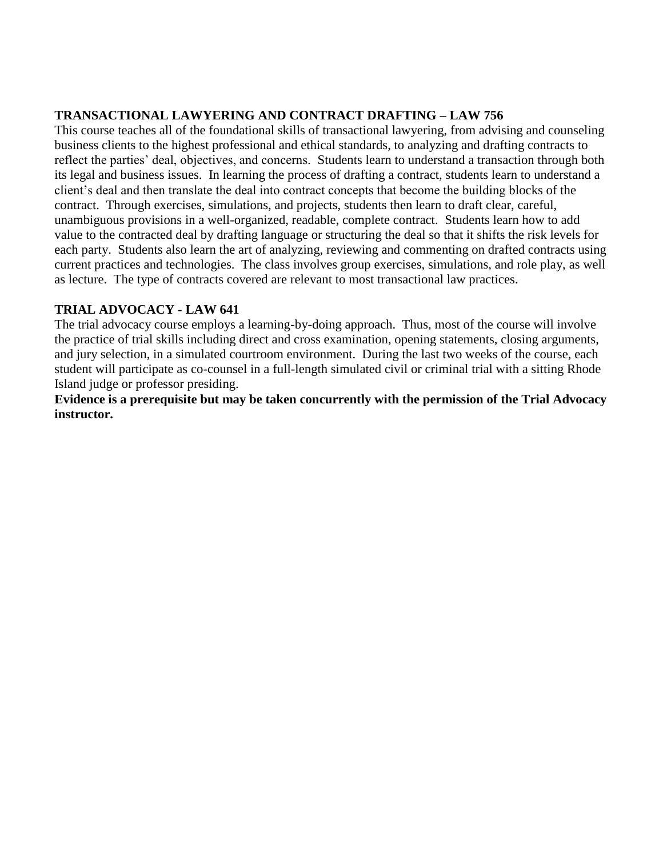# **TRANSACTIONAL LAWYERING AND CONTRACT DRAFTING – LAW 756**

This course teaches all of the foundational skills of transactional lawyering, from advising and counseling business clients to the highest professional and ethical standards, to analyzing and drafting contracts to reflect the parties' deal, objectives, and concerns. Students learn to understand a transaction through both its legal and business issues. In learning the process of drafting a contract, students learn to understand a client's deal and then translate the deal into contract concepts that become the building blocks of the contract. Through exercises, simulations, and projects, students then learn to draft clear, careful, unambiguous provisions in a well-organized, readable, complete contract. Students learn how to add value to the contracted deal by drafting language or structuring the deal so that it shifts the risk levels for each party. Students also learn the art of analyzing, reviewing and commenting on drafted contracts using current practices and technologies. The class involves group exercises, simulations, and role play, as well as lecture. The type of contracts covered are relevant to most transactional law practices.

### **TRIAL ADVOCACY - LAW 641**

The trial advocacy course employs a learning-by-doing approach. Thus, most of the course will involve the practice of trial skills including direct and cross examination, opening statements, closing arguments, and jury selection, in a simulated courtroom environment. During the last two weeks of the course, each student will participate as co-counsel in a full-length simulated civil or criminal trial with a sitting Rhode Island judge or professor presiding.

**Evidence is a prerequisite but may be taken concurrently with the permission of the Trial Advocacy instructor.**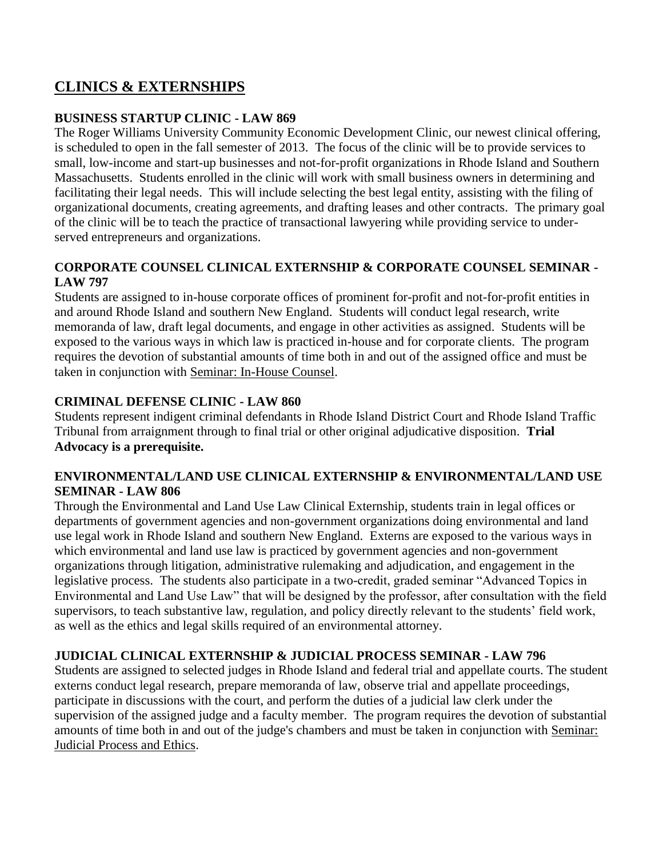# **CLINICS & EXTERNSHIPS**

### **BUSINESS STARTUP CLINIC - LAW 869**

The Roger Williams University Community Economic Development Clinic, our newest clinical offering, is scheduled to open in the fall semester of 2013. The focus of the clinic will be to provide services to small, low-income and start-up businesses and not-for-profit organizations in Rhode Island and Southern Massachusetts. Students enrolled in the clinic will work with small business owners in determining and facilitating their legal needs. This will include selecting the best legal entity, assisting with the filing of organizational documents, creating agreements, and drafting leases and other contracts. The primary goal of the clinic will be to teach the practice of transactional lawyering while providing service to underserved entrepreneurs and organizations.

### **CORPORATE COUNSEL CLINICAL EXTERNSHIP & CORPORATE COUNSEL SEMINAR - LAW 797**

Students are assigned to in-house corporate offices of prominent for-profit and not-for-profit entities in and around Rhode Island and southern New England. Students will conduct legal research, write memoranda of law, draft legal documents, and engage in other activities as assigned. Students will be exposed to the various ways in which law is practiced in-house and for corporate clients. The program requires the devotion of substantial amounts of time both in and out of the assigned office and must be taken in conjunction with Seminar: In-House Counsel.

# **CRIMINAL DEFENSE CLINIC - LAW 860**

Students represent indigent criminal defendants in Rhode Island District Court and Rhode Island Traffic Tribunal from arraignment through to final trial or other original adjudicative disposition. **Trial Advocacy is a prerequisite.** 

### **ENVIRONMENTAL/LAND USE CLINICAL EXTERNSHIP & ENVIRONMENTAL/LAND USE SEMINAR - LAW 806**

Through the Environmental and Land Use Law Clinical Externship, students train in legal offices or departments of government agencies and non-government organizations doing environmental and land use legal work in Rhode Island and southern New England. Externs are exposed to the various ways in which environmental and land use law is practiced by government agencies and non-government organizations through litigation, administrative rulemaking and adjudication, and engagement in the legislative process. The students also participate in a two-credit, graded seminar "Advanced Topics in Environmental and Land Use Law" that will be designed by the professor, after consultation with the field supervisors, to teach substantive law, regulation, and policy directly relevant to the students' field work, as well as the ethics and legal skills required of an environmental attorney.

# **JUDICIAL CLINICAL EXTERNSHIP & JUDICIAL PROCESS SEMINAR - LAW 796**

Students are assigned to selected judges in Rhode Island and federal trial and appellate courts. The student externs conduct legal research, prepare memoranda of law, observe trial and appellate proceedings, participate in discussions with the court, and perform the duties of a judicial law clerk under the supervision of the assigned judge and a faculty member. The program requires the devotion of substantial amounts of time both in and out of the judge's chambers and must be taken in conjunction with Seminar: Judicial Process and Ethics.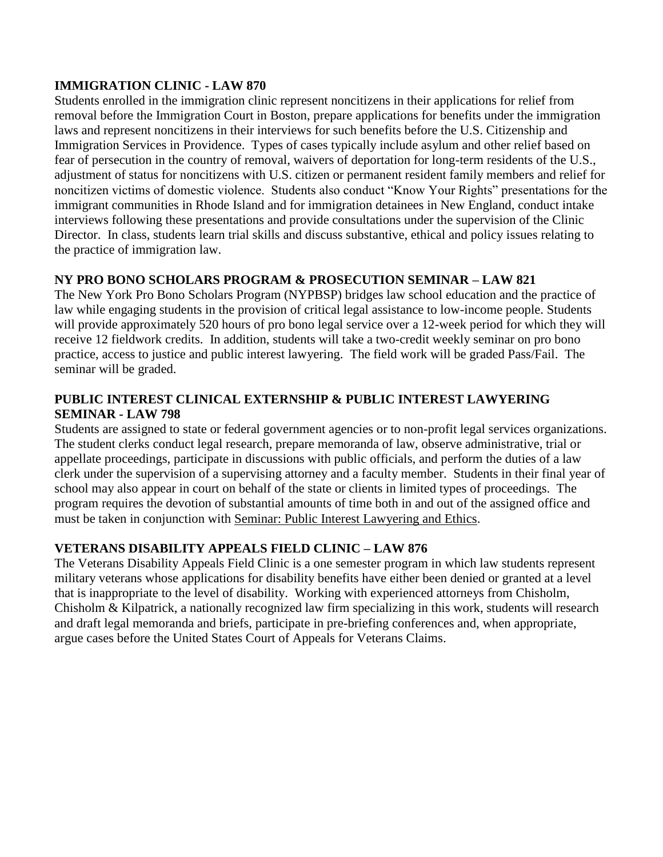### **IMMIGRATION CLINIC - LAW 870**

Students enrolled in the immigration clinic represent noncitizens in their applications for relief from removal before the Immigration Court in Boston, prepare applications for benefits under the immigration laws and represent noncitizens in their interviews for such benefits before the U.S. Citizenship and Immigration Services in Providence. Types of cases typically include asylum and other relief based on fear of persecution in the country of removal, waivers of deportation for long-term residents of the U.S., adjustment of status for noncitizens with U.S. citizen or permanent resident family members and relief for noncitizen victims of domestic violence. Students also conduct "Know Your Rights" presentations for the immigrant communities in Rhode Island and for immigration detainees in New England, conduct intake interviews following these presentations and provide consultations under the supervision of the Clinic Director. In class, students learn trial skills and discuss substantive, ethical and policy issues relating to the practice of immigration law.

# **NY PRO BONO SCHOLARS PROGRAM & PROSECUTION SEMINAR – LAW 821**

The New York Pro Bono Scholars Program (NYPBSP) bridges law school education and the practice of law while engaging students in the provision of critical legal assistance to low-income people. Students will provide approximately 520 hours of pro bono legal service over a 12-week period for which they will receive 12 fieldwork credits. In addition, students will take a two-credit weekly seminar on pro bono practice, access to justice and public interest lawyering. The field work will be graded Pass/Fail. The seminar will be graded.

# **PUBLIC INTEREST CLINICAL EXTERNSHIP & PUBLIC INTEREST LAWYERING SEMINAR - LAW 798**

Students are assigned to state or federal government agencies or to non-profit legal services organizations. The student clerks conduct legal research, prepare memoranda of law, observe administrative, trial or appellate proceedings, participate in discussions with public officials, and perform the duties of a law clerk under the supervision of a supervising attorney and a faculty member. Students in their final year of school may also appear in court on behalf of the state or clients in limited types of proceedings. The program requires the devotion of substantial amounts of time both in and out of the assigned office and must be taken in conjunction with Seminar: Public Interest Lawyering and Ethics.

# **VETERANS DISABILITY APPEALS FIELD CLINIC – LAW 876**

The Veterans Disability Appeals Field Clinic is a one semester program in which law students represent military veterans whose applications for disability benefits have either been denied or granted at a level that is inappropriate to the level of disability. Working with experienced attorneys from Chisholm, Chisholm & Kilpatrick, a nationally recognized law firm specializing in this work, students will research and draft legal memoranda and briefs, participate in pre-briefing conferences and, when appropriate, argue cases before the United States Court of Appeals for Veterans Claims.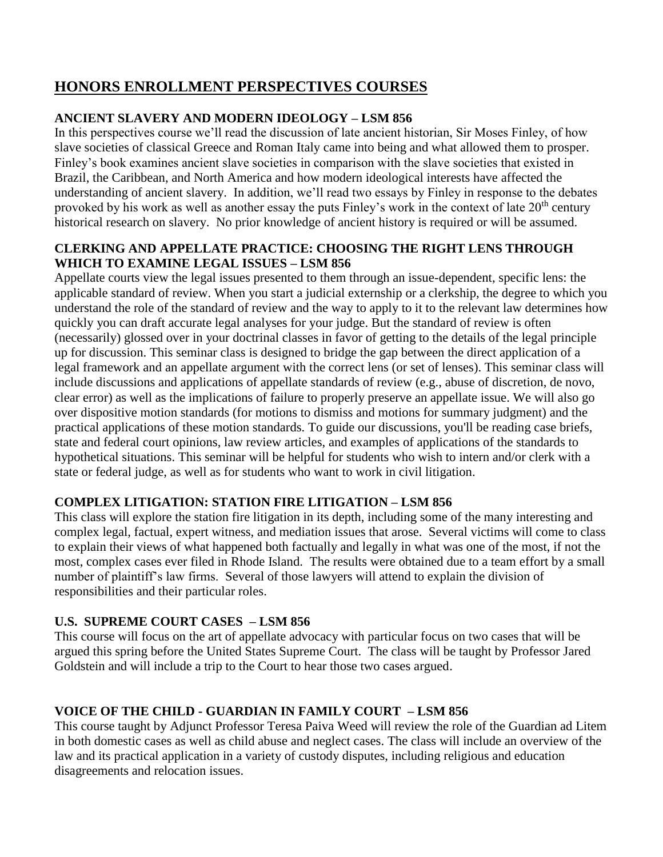# **HONORS ENROLLMENT PERSPECTIVES COURSES**

# **ANCIENT SLAVERY AND MODERN IDEOLOGY – LSM 856**

In this perspectives course we'll read the discussion of late ancient historian, Sir Moses Finley, of how slave societies of classical Greece and Roman Italy came into being and what allowed them to prosper. Finley's book examines ancient slave societies in comparison with the slave societies that existed in Brazil, the Caribbean, and North America and how modern ideological interests have affected the understanding of ancient slavery. In addition, we'll read two essays by Finley in response to the debates provoked by his work as well as another essay the puts Finley's work in the context of late  $20<sup>th</sup>$  century historical research on slavery. No prior knowledge of ancient history is required or will be assumed.

# **CLERKING AND APPELLATE PRACTICE: CHOOSING THE RIGHT LENS THROUGH WHICH TO EXAMINE LEGAL ISSUES – LSM 856**

Appellate courts view the legal issues presented to them through an issue-dependent, specific lens: the applicable standard of review. When you start a judicial externship or a clerkship, the degree to which you understand the role of the standard of review and the way to apply to it to the relevant law determines how quickly you can draft accurate legal analyses for your judge. But the standard of review is often (necessarily) glossed over in your doctrinal classes in favor of getting to the details of the legal principle up for discussion. This seminar class is designed to bridge the gap between the direct application of a legal framework and an appellate argument with the correct lens (or set of lenses). This seminar class will include discussions and applications of appellate standards of review (e.g., abuse of discretion, de novo, clear error) as well as the implications of failure to properly preserve an appellate issue. We will also go over dispositive motion standards (for motions to dismiss and motions for summary judgment) and the practical applications of these motion standards. To guide our discussions, you'll be reading case briefs, state and federal court opinions, law review articles, and examples of applications of the standards to hypothetical situations. This seminar will be helpful for students who wish to intern and/or clerk with a state or federal judge, as well as for students who want to work in civil litigation.

# **COMPLEX LITIGATION: STATION FIRE LITIGATION – LSM 856**

This class will explore the station fire litigation in its depth, including some of the many interesting and complex legal, factual, expert witness, and mediation issues that arose. Several victims will come to class to explain their views of what happened both factually and legally in what was one of the most, if not the most, complex cases ever filed in Rhode Island. The results were obtained due to a team effort by a small number of plaintiff's law firms. Several of those lawyers will attend to explain the division of responsibilities and their particular roles.

# **U.S. SUPREME COURT CASES – LSM 856**

This course will focus on the art of appellate advocacy with particular focus on two cases that will be argued this spring before the United States Supreme Court. The class will be taught by Professor Jared Goldstein and will include a trip to the Court to hear those two cases argued.

# **VOICE OF THE CHILD - GUARDIAN IN FAMILY COURT – LSM 856**

This course taught by Adjunct Professor Teresa Paiva Weed will review the role of the Guardian ad Litem in both domestic cases as well as child abuse and neglect cases. The class will include an overview of the law and its practical application in a variety of custody disputes, including religious and education disagreements and relocation issues.